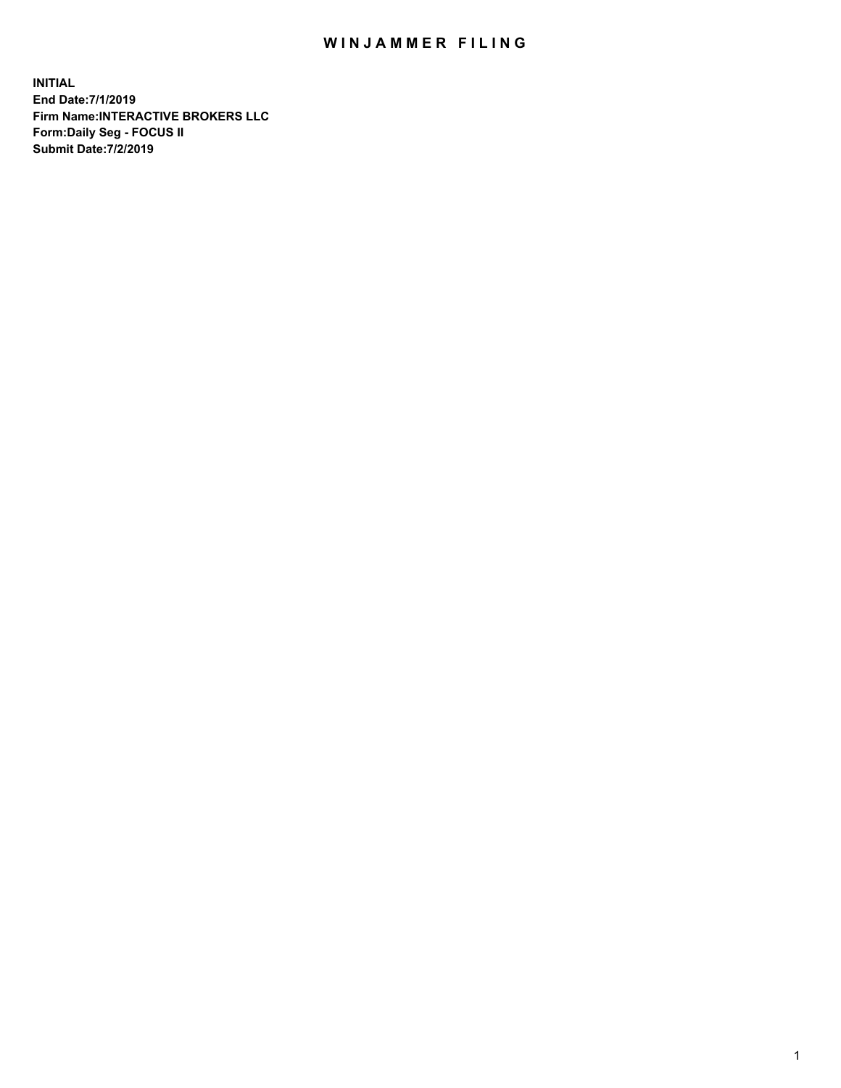## WIN JAMMER FILING

**INITIAL End Date:7/1/2019 Firm Name:INTERACTIVE BROKERS LLC Form:Daily Seg - FOCUS II Submit Date:7/2/2019**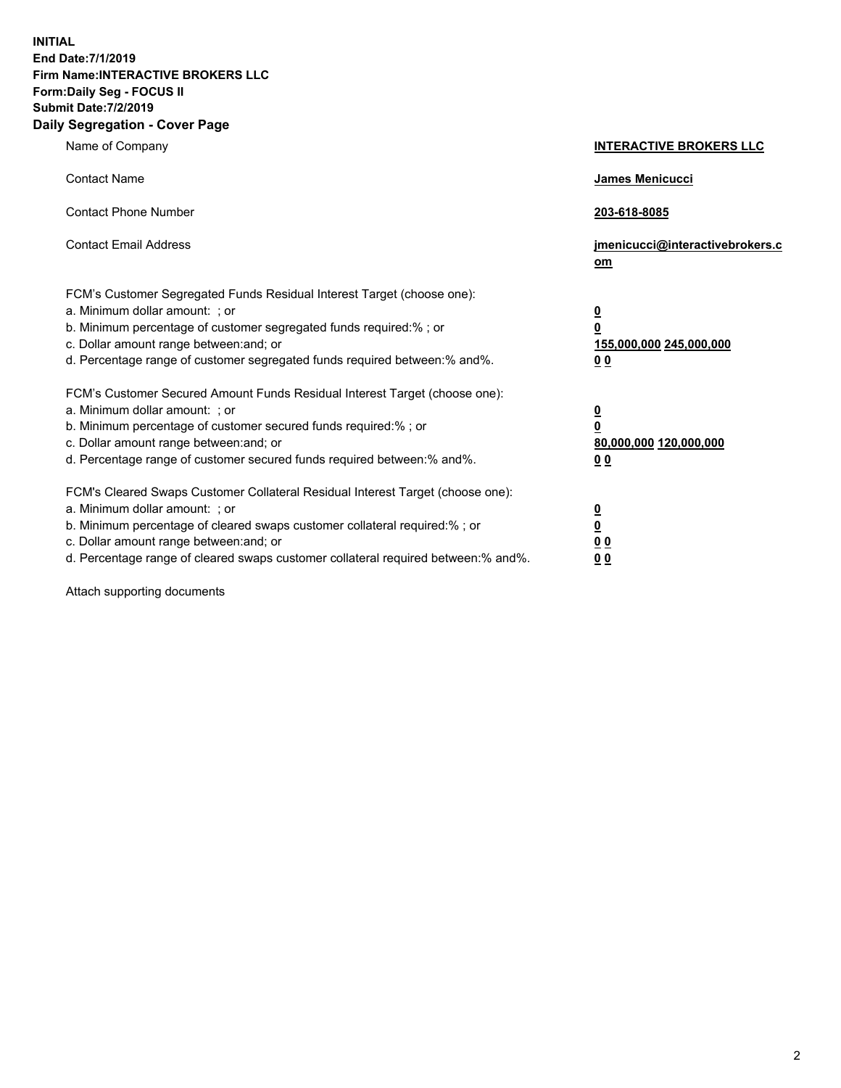**INITIAL End Date:7/1/2019 Firm Name:INTERACTIVE BROKERS LLC Form:Daily Seg - FOCUS II Submit Date:7/2/2019 Daily Segregation - Cover Page**

| Name of Company                                                                                                                                                                                                                                                                                                                | <b>INTERACTIVE BROKERS LLC</b>                                                      |
|--------------------------------------------------------------------------------------------------------------------------------------------------------------------------------------------------------------------------------------------------------------------------------------------------------------------------------|-------------------------------------------------------------------------------------|
| <b>Contact Name</b>                                                                                                                                                                                                                                                                                                            | James Menicucci                                                                     |
| <b>Contact Phone Number</b>                                                                                                                                                                                                                                                                                                    | 203-618-8085                                                                        |
| <b>Contact Email Address</b>                                                                                                                                                                                                                                                                                                   | jmenicucci@interactivebrokers.c<br>om                                               |
| FCM's Customer Segregated Funds Residual Interest Target (choose one):<br>a. Minimum dollar amount: ; or<br>b. Minimum percentage of customer segregated funds required:% ; or<br>c. Dollar amount range between: and; or<br>d. Percentage range of customer segregated funds required between:% and%.                         | $\overline{\mathbf{0}}$<br>$\overline{\mathbf{0}}$<br>155,000,000 245,000,000<br>00 |
| FCM's Customer Secured Amount Funds Residual Interest Target (choose one):<br>a. Minimum dollar amount: ; or<br>b. Minimum percentage of customer secured funds required:% ; or<br>c. Dollar amount range between: and; or<br>d. Percentage range of customer secured funds required between:% and%.                           | $\overline{\mathbf{0}}$<br>0<br>80,000,000 120,000,000<br>0 <sub>0</sub>            |
| FCM's Cleared Swaps Customer Collateral Residual Interest Target (choose one):<br>a. Minimum dollar amount: ; or<br>b. Minimum percentage of cleared swaps customer collateral required:% ; or<br>c. Dollar amount range between: and; or<br>d. Percentage range of cleared swaps customer collateral required between:% and%. | <u>0</u><br><u>0</u><br>0 <sub>0</sub><br>0 <sub>0</sub>                            |

Attach supporting documents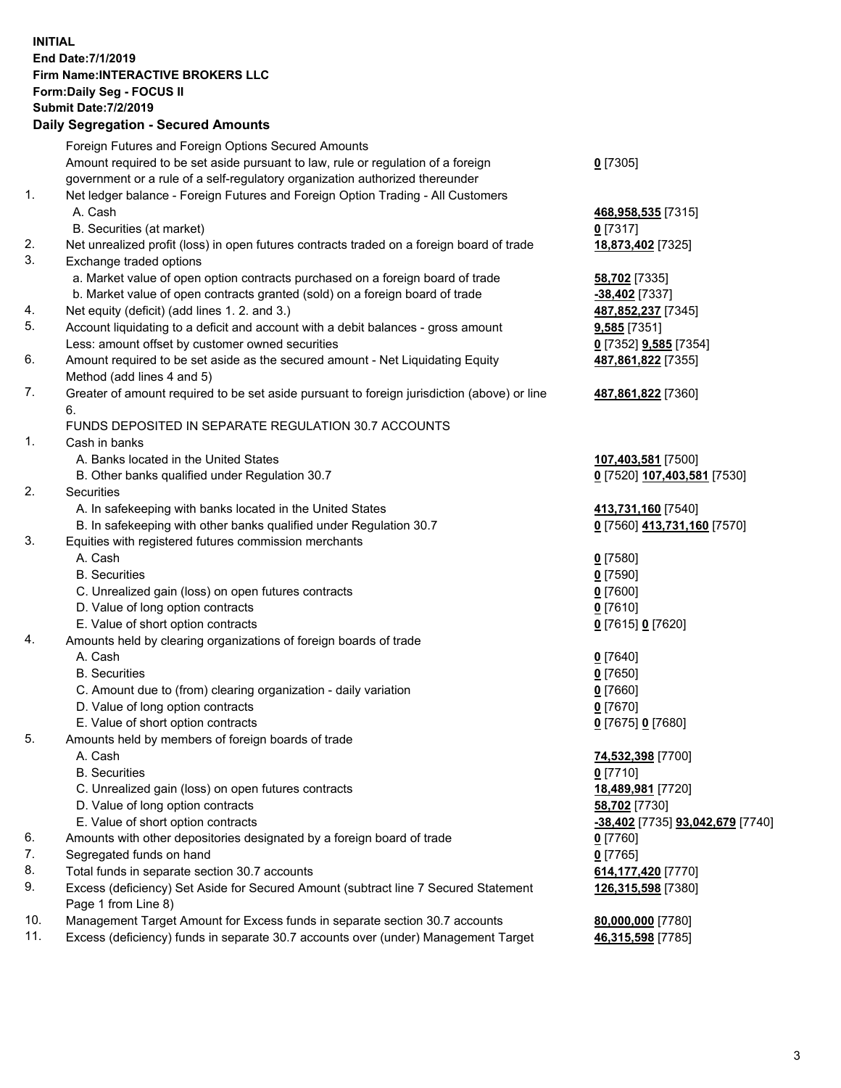## **INITIAL End Date:7/1/2019 Firm Name:INTERACTIVE BROKERS LLC Form:Daily Seg - FOCUS II Submit Date:7/2/2019 Daily Segregation - Secured Amounts**

|     | Foreign Futures and Foreign Options Secured Amounts                                         |                                                |
|-----|---------------------------------------------------------------------------------------------|------------------------------------------------|
|     | Amount required to be set aside pursuant to law, rule or regulation of a foreign            | $0$ [7305]                                     |
|     | government or a rule of a self-regulatory organization authorized thereunder                |                                                |
| 1.  | Net ledger balance - Foreign Futures and Foreign Option Trading - All Customers             |                                                |
|     | A. Cash                                                                                     | 468,958,535 [7315]                             |
|     | B. Securities (at market)                                                                   | $0$ [7317]                                     |
| 2.  | Net unrealized profit (loss) in open futures contracts traded on a foreign board of trade   | 18,873,402 [7325]                              |
| 3.  | Exchange traded options                                                                     |                                                |
|     | a. Market value of open option contracts purchased on a foreign board of trade              | 58,702 [7335]                                  |
|     | b. Market value of open contracts granted (sold) on a foreign board of trade                | -38,402 [7337]                                 |
| 4.  | Net equity (deficit) (add lines 1. 2. and 3.)                                               | 487,852,237 [7345]                             |
| 5.  | Account liquidating to a deficit and account with a debit balances - gross amount           | 9,585 [7351]                                   |
|     | Less: amount offset by customer owned securities                                            | 0 [7352] 9,585 [7354]                          |
| 6.  | Amount required to be set aside as the secured amount - Net Liquidating Equity              | 487,861,822 [7355]                             |
|     | Method (add lines 4 and 5)                                                                  |                                                |
| 7.  | Greater of amount required to be set aside pursuant to foreign jurisdiction (above) or line | 487,861,822 [7360]                             |
|     | 6.                                                                                          |                                                |
|     | FUNDS DEPOSITED IN SEPARATE REGULATION 30.7 ACCOUNTS                                        |                                                |
| 1.  | Cash in banks                                                                               |                                                |
|     | A. Banks located in the United States                                                       | 107,403,581 [7500]                             |
|     | B. Other banks qualified under Regulation 30.7                                              | 0 [7520] 107,403,581 [7530]                    |
| 2.  | Securities                                                                                  |                                                |
|     | A. In safekeeping with banks located in the United States                                   | 413,731,160 [7540]                             |
|     | B. In safekeeping with other banks qualified under Regulation 30.7                          | 0 [7560] 413,731,160 [7570]                    |
| 3.  | Equities with registered futures commission merchants                                       |                                                |
|     | A. Cash                                                                                     | $0$ [7580]                                     |
|     | <b>B.</b> Securities                                                                        | $0$ [7590]                                     |
|     | C. Unrealized gain (loss) on open futures contracts                                         | $0$ [7600]                                     |
|     | D. Value of long option contracts                                                           | $0$ [7610]                                     |
|     | E. Value of short option contracts                                                          | 0 [7615] 0 [7620]                              |
| 4.  | Amounts held by clearing organizations of foreign boards of trade                           |                                                |
|     | A. Cash                                                                                     | $0$ [7640]                                     |
|     | <b>B.</b> Securities                                                                        | $0$ [7650]                                     |
|     | C. Amount due to (from) clearing organization - daily variation                             | $0$ [7660]                                     |
|     | D. Value of long option contracts                                                           | $0$ [7670]                                     |
|     | E. Value of short option contracts                                                          | 0 [7675] 0 [7680]                              |
| 5.  | Amounts held by members of foreign boards of trade                                          |                                                |
|     | A. Cash                                                                                     | 74,532,398 [7700]                              |
|     | <b>B.</b> Securities                                                                        | $0$ [7710]                                     |
|     | C. Unrealized gain (loss) on open futures contracts                                         | 18,489,981 [7720]                              |
|     | D. Value of long option contracts                                                           | 58,702 [7730]                                  |
|     | E. Value of short option contracts                                                          | <u>-38,402</u> [7735] <u>93,042,679</u> [7740] |
| 6.  | Amounts with other depositories designated by a foreign board of trade                      | $0$ [7760]                                     |
| 7.  | Segregated funds on hand                                                                    | $0$ [7765]                                     |
| 8.  | Total funds in separate section 30.7 accounts                                               | 614,177,420 [7770]                             |
| 9.  | Excess (deficiency) Set Aside for Secured Amount (subtract line 7 Secured Statement         | 126,315,598 [7380]                             |
|     | Page 1 from Line 8)                                                                         |                                                |
| 10. | Management Target Amount for Excess funds in separate section 30.7 accounts                 | 80,000,000 [7780]                              |
| 11. | Excess (deficiency) funds in separate 30.7 accounts over (under) Management Target          | 46,315,598 [7785]                              |
|     |                                                                                             |                                                |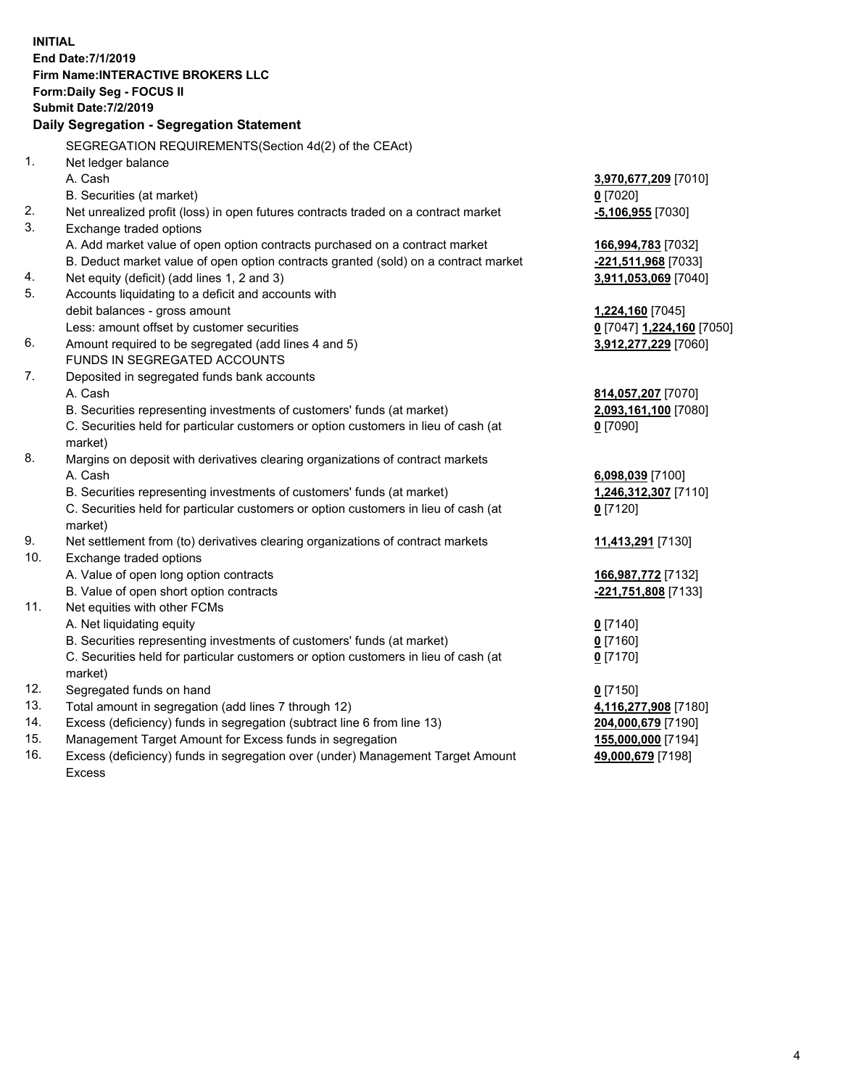**INITIAL End Date:7/1/2019 Firm Name:INTERACTIVE BROKERS LLC Form:Daily Seg - FOCUS II Submit Date:7/2/2019 Daily Segregation - Segregation Statement** SEGREGATION REQUIREMENTS(Section 4d(2) of the CEAct) 1. Net ledger balance A. Cash **3,970,677,209** [7010] B. Securities (at market) **0** [7020] 2. Net unrealized profit (loss) in open futures contracts traded on a contract market **-5,106,955** [7030] 3. Exchange traded options A. Add market value of open option contracts purchased on a contract market **166,994,783** [7032] B. Deduct market value of open option contracts granted (sold) on a contract market **-221,511,968** [7033] 4. Net equity (deficit) (add lines 1, 2 and 3) **3,911,053,069** [7040] 5. Accounts liquidating to a deficit and accounts with debit balances - gross amount **1,224,160** [7045] Less: amount offset by customer securities **0** [7047] **1,224,160** [7050] 6. Amount required to be segregated (add lines 4 and 5) **3,912,277,229** [7060] FUNDS IN SEGREGATED ACCOUNTS 7. Deposited in segregated funds bank accounts A. Cash **814,057,207** [7070] B. Securities representing investments of customers' funds (at market) **2,093,161,100** [7080] C. Securities held for particular customers or option customers in lieu of cash (at market) **0** [7090] 8. Margins on deposit with derivatives clearing organizations of contract markets A. Cash **6,098,039** [7100] B. Securities representing investments of customers' funds (at market) **1,246,312,307** [7110] C. Securities held for particular customers or option customers in lieu of cash (at market) **0** [7120] 9. Net settlement from (to) derivatives clearing organizations of contract markets **11,413,291** [7130] 10. Exchange traded options A. Value of open long option contracts **166,987,772** [7132] B. Value of open short option contracts **-221,751,808** [7133] 11. Net equities with other FCMs A. Net liquidating equity **0** [7140] B. Securities representing investments of customers' funds (at market) **0** [7160] C. Securities held for particular customers or option customers in lieu of cash (at market) **0** [7170] 12. Segregated funds on hand **0** [7150] 13. Total amount in segregation (add lines 7 through 12) **4,116,277,908** [7180] 14. Excess (deficiency) funds in segregation (subtract line 6 from line 13) **204,000,679** [7190] 15. Management Target Amount for Excess funds in segregation **155,000,000** [7194] **49,000,679** [7198]

16. Excess (deficiency) funds in segregation over (under) Management Target Amount Excess